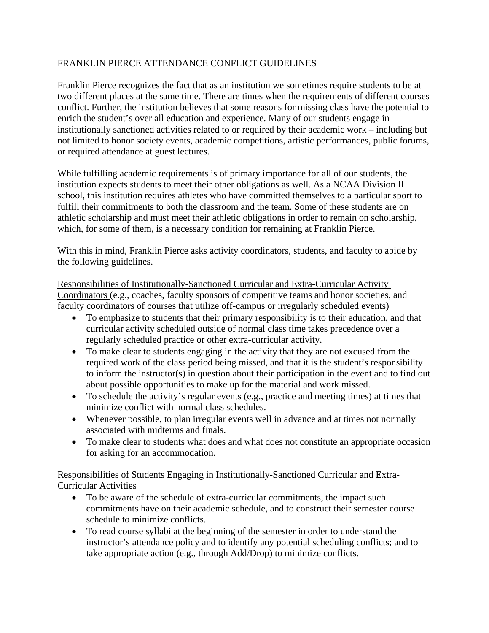## FRANKLIN PIERCE ATTENDANCE CONFLICT GUIDELINES

Franklin Pierce recognizes the fact that as an institution we sometimes require students to be at two different places at the same time. There are times when the requirements of different courses conflict. Further, the institution believes that some reasons for missing class have the potential to enrich the student's over all education and experience. Many of our students engage in institutionally sanctioned activities related to or required by their academic work – including but not limited to honor society events, academic competitions, artistic performances, public forums, or required attendance at guest lectures.

While fulfilling academic requirements is of primary importance for all of our students, the institution expects students to meet their other obligations as well. As a NCAA Division II school, this institution requires athletes who have committed themselves to a particular sport to fulfill their commitments to both the classroom and the team. Some of these students are on athletic scholarship and must meet their athletic obligations in order to remain on scholarship, which, for some of them, is a necessary condition for remaining at Franklin Pierce.

With this in mind, Franklin Pierce asks activity coordinators, students, and faculty to abide by the following guidelines.

Responsibilities of Institutionally-Sanctioned Curricular and Extra-Curricular Activity Coordinators (e.g., coaches, faculty sponsors of competitive teams and honor societies, and faculty coordinators of courses that utilize off-campus or irregularly scheduled events)

- To emphasize to students that their primary responsibility is to their education, and that curricular activity scheduled outside of normal class time takes precedence over a regularly scheduled practice or other extra-curricular activity.
- To make clear to students engaging in the activity that they are not excused from the required work of the class period being missed, and that it is the student's responsibility to inform the instructor(s) in question about their participation in the event and to find out about possible opportunities to make up for the material and work missed.
- To schedule the activity's regular events (e.g., practice and meeting times) at times that minimize conflict with normal class schedules.
- Whenever possible, to plan irregular events well in advance and at times not normally associated with midterms and finals.
- To make clear to students what does and what does not constitute an appropriate occasion for asking for an accommodation.

Responsibilities of Students Engaging in Institutionally-Sanctioned Curricular and Extra-Curricular Activities

- To be aware of the schedule of extra-curricular commitments, the impact such commitments have on their academic schedule, and to construct their semester course schedule to minimize conflicts.
- To read course syllabi at the beginning of the semester in order to understand the instructor's attendance policy and to identify any potential scheduling conflicts; and to take appropriate action (e.g., through Add/Drop) to minimize conflicts.